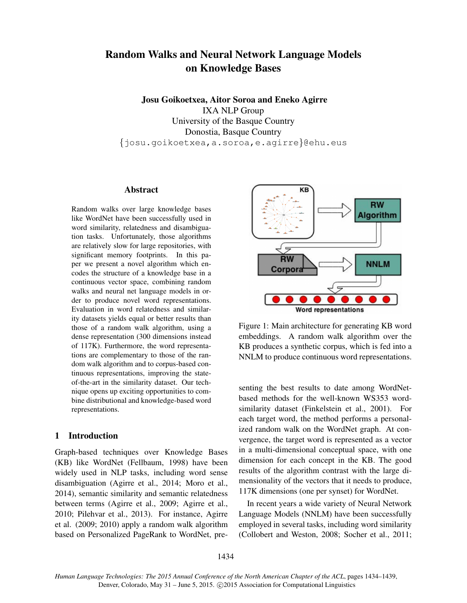# Random Walks and Neural Network Language Models on Knowledge Bases

Josu Goikoetxea, Aitor Soroa and Eneko Agirre IXA NLP Group University of the Basque Country Donostia, Basque Country {josu.goikoetxea,a.soroa,e.agirre}@ehu.eus

#### Abstract

Random walks over large knowledge bases like WordNet have been successfully used in word similarity, relatedness and disambiguation tasks. Unfortunately, those algorithms are relatively slow for large repositories, with significant memory footprints. In this paper we present a novel algorithm which encodes the structure of a knowledge base in a continuous vector space, combining random walks and neural net language models in order to produce novel word representations. Evaluation in word relatedness and similarity datasets yields equal or better results than those of a random walk algorithm, using a dense representation (300 dimensions instead of 117K). Furthermore, the word representations are complementary to those of the random walk algorithm and to corpus-based continuous representations, improving the stateof-the-art in the similarity dataset. Our technique opens up exciting opportunities to combine distributional and knowledge-based word representations.

## 1 Introduction

Graph-based techniques over Knowledge Bases (KB) like WordNet (Fellbaum, 1998) have been widely used in NLP tasks, including word sense disambiguation (Agirre et al., 2014; Moro et al., 2014), semantic similarity and semantic relatedness between terms (Agirre et al., 2009; Agirre et al., 2010; Pilehvar et al., 2013). For instance, Agirre et al. (2009; 2010) apply a random walk algorithm based on Personalized PageRank to WordNet, pre-



Figure 1: Main architecture for generating KB word embeddings. A random walk algorithm over the KB produces a synthetic corpus, which is fed into a NNLM to produce continuous word representations.

senting the best results to date among WordNetbased methods for the well-known WS353 wordsimilarity dataset (Finkelstein et al., 2001). For each target word, the method performs a personalized random walk on the WordNet graph. At convergence, the target word is represented as a vector in a multi-dimensional conceptual space, with one dimension for each concept in the KB. The good results of the algorithm contrast with the large dimensionality of the vectors that it needs to produce, 117K dimensions (one per synset) for WordNet.

In recent years a wide variety of Neural Network Language Models (NNLM) have been successfully employed in several tasks, including word similarity (Collobert and Weston, 2008; Socher et al., 2011;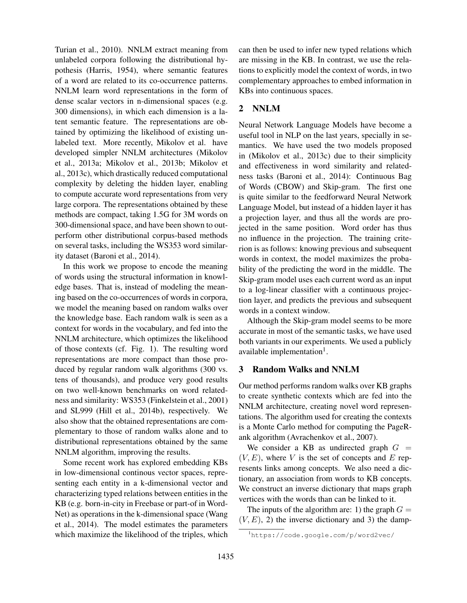Turian et al., 2010). NNLM extract meaning from unlabeled corpora following the distributional hypothesis (Harris, 1954), where semantic features of a word are related to its co-occurrence patterns. NNLM learn word representations in the form of dense scalar vectors in n-dimensional spaces (e.g. 300 dimensions), in which each dimension is a latent semantic feature. The representations are obtained by optimizing the likelihood of existing unlabeled text. More recently, Mikolov et al. have developed simpler NNLM architectures (Mikolov et al., 2013a; Mikolov et al., 2013b; Mikolov et al., 2013c), which drastically reduced computational complexity by deleting the hidden layer, enabling to compute accurate word representations from very large corpora. The representations obtained by these methods are compact, taking 1.5G for 3M words on 300-dimensional space, and have been shown to outperform other distributional corpus-based methods on several tasks, including the WS353 word similarity dataset (Baroni et al., 2014).

In this work we propose to encode the meaning of words using the structural information in knowledge bases. That is, instead of modeling the meaning based on the co-occurrences of words in corpora, we model the meaning based on random walks over the knowledge base. Each random walk is seen as a context for words in the vocabulary, and fed into the NNLM architecture, which optimizes the likelihood of those contexts (cf. Fig. 1). The resulting word representations are more compact than those produced by regular random walk algorithms (300 vs. tens of thousands), and produce very good results on two well-known benchmarks on word relatedness and similarity: WS353 (Finkelstein et al., 2001) and SL999 (Hill et al., 2014b), respectively. We also show that the obtained representations are complementary to those of random walks alone and to distributional representations obtained by the same NNLM algorithm, improving the results.

Some recent work has explored embedding KBs in low-dimensional continous vector spaces, representing each entity in a k-dimensional vector and characterizing typed relations between entities in the KB (e.g. born-in-city in Freebase or part-of in Word-Net) as operations in the k-dimensional space (Wang et al., 2014). The model estimates the parameters which maximize the likelihood of the triples, which can then be used to infer new typed relations which are missing in the KB. In contrast, we use the relations to explicitly model the context of words, in two complementary approaches to embed information in KBs into continuous spaces.

## 2 NNLM

Neural Network Language Models have become a useful tool in NLP on the last years, specially in semantics. We have used the two models proposed in (Mikolov et al., 2013c) due to their simplicity and effectiveness in word similarity and relatedness tasks (Baroni et al., 2014): Continuous Bag of Words (CBOW) and Skip-gram. The first one is quite similar to the feedforward Neural Network Language Model, but instead of a hidden layer it has a projection layer, and thus all the words are projected in the same position. Word order has thus no influence in the projection. The training criterion is as follows: knowing previous and subsequent words in context, the model maximizes the probability of the predicting the word in the middle. The Skip-gram model uses each current word as an input to a log-linear classifier with a continuous projection layer, and predicts the previous and subsequent words in a context window.

Although the Skip-gram model seems to be more accurate in most of the semantic tasks, we have used both variants in our experiments. We used a publicly available implementation<sup>1</sup>.

## 3 Random Walks and NNLM

Our method performs random walks over KB graphs to create synthetic contexts which are fed into the NNLM architecture, creating novel word representations. The algorithm used for creating the contexts is a Monte Carlo method for computing the PageRank algorithm (Avrachenkov et al., 2007).

We consider a KB as undirected graph  $G =$  $(V, E)$ , where V is the set of concepts and E represents links among concepts. We also need a dictionary, an association from words to KB concepts. We construct an inverse dictionary that maps graph vertices with the words than can be linked to it.

The inputs of the algorithm are: 1) the graph  $G =$  $(V, E)$ , 2) the inverse dictionary and 3) the damp-

<sup>1</sup>https://code.google.com/p/word2vec/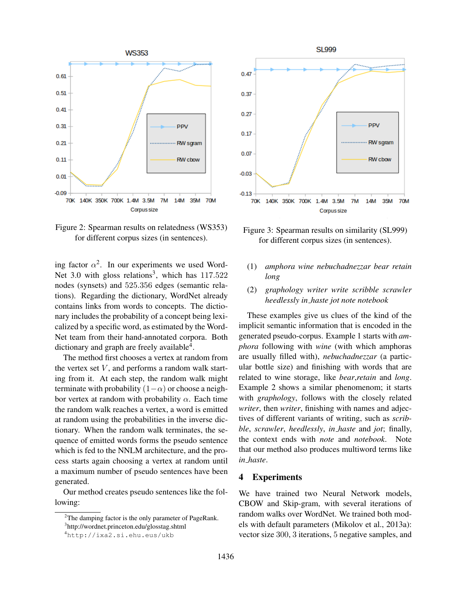

Figure 2: Spearman results on relatedness (WS353) for different corpus sizes (in sentences).

ing factor  $\alpha^2$ . In our experiments we used Word-Net 3.0 with gloss relations<sup>3</sup>, which has  $117.522$ nodes (synsets) and 525.356 edges (semantic relations). Regarding the dictionary, WordNet already contains links from words to concepts. The dictionary includes the probability of a concept being lexicalized by a specific word, as estimated by the Word-Net team from their hand-annotated corpora. Both dictionary and graph are freely available<sup>4</sup>.

The method first chooses a vertex at random from the vertex set  $V$ , and performs a random walk starting from it. At each step, the random walk might terminate with probability  $(1-\alpha)$  or choose a neighbor vertex at random with probability  $\alpha$ . Each time the random walk reaches a vertex, a word is emitted at random using the probabilities in the inverse dictionary. When the random walk terminates, the sequence of emitted words forms the pseudo sentence which is fed to the NNLM architecture, and the process starts again choosing a vertex at random until a maximum number of pseudo sentences have been generated.

Our method creates pseudo sentences like the following:

**SL999**  $0.47$ 0.37  $0.27$ PPV  $0.17$ RW sgram  $0.07$ **RW** cbow  $-0.03$  $-0.13$ 140K 350K 700K 1.4M 3.5M **70K**  $7M$ 14M 35M 70M Corpus size



- (1) *amphora wine nebuchadnezzar bear retain long*
- (2) *graphology writer write scribble scrawler heedlessly in haste jot note notebook*

These examples give us clues of the kind of the implicit semantic information that is encoded in the generated pseudo-corpus. Example 1 starts with *amphora* following with *wine* (with which amphoras are usually filled with), *nebuchadnezzar* (a particular bottle size) and finishing with words that are related to wine storage, like *bear*,*retain* and *long*. Example 2 shows a similar phenomenom; it starts with *graphology*, follows with the closely related *writer*, then *writer*, finishing with names and adjectives of different variants of writing, such as *scribble*, *scrawler*, *heedlessly*, *in haste* and *jot*; finally, the context ends with *note* and *notebook*. Note that our method also produces multiword terms like *in haste*.

## 4 Experiments

We have trained two Neural Network models, CBOW and Skip-gram, with several iterations of random walks over WordNet. We trained both models with default parameters (Mikolov et al., 2013a): vector size 300, 3 iterations, 5 negative samples, and

<sup>&</sup>lt;sup>2</sup>The damping factor is the only parameter of PageRank.

<sup>3</sup> http://wordnet.princeton.edu/glosstag.shtml <sup>4</sup>http://ixa2.si.ehu.eus/ukb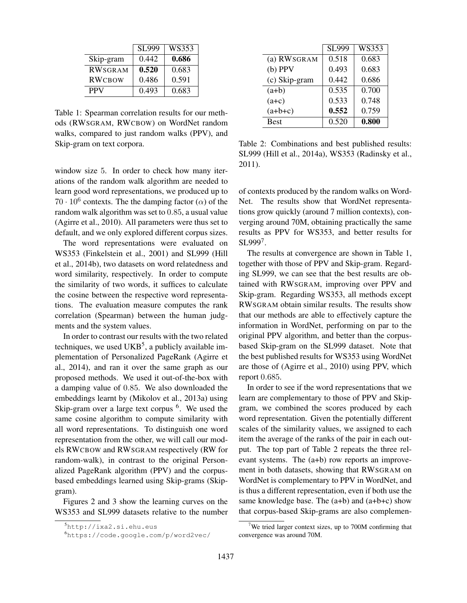|                | <b>SL999</b> | WS353 |
|----------------|--------------|-------|
| Skip-gram      | 0.442        | 0.686 |
| <b>RWSGRAM</b> | 0.520        | 0.683 |
| <b>RWCBOW</b>  | 0.486        | 0.591 |
| <b>PPV</b>     | 0.493        | 0.683 |

Table 1: Spearman correlation results for our methods (RWSGRAM, RWCBOW) on WordNet random walks, compared to just random walks (PPV), and Skip-gram on text corpora.

window size 5. In order to check how many iterations of the random walk algorithm are needed to learn good word representations, we produced up to  $70 \cdot 10^6$  contexts. The the damping factor ( $\alpha$ ) of the random walk algorithm was set to 0.85, a usual value (Agirre et al., 2010). All parameters were thus set to default, and we only explored different corpus sizes.

The word representations were evaluated on WS353 (Finkelstein et al., 2001) and SL999 (Hill et al., 2014b), two datasets on word relatedness and word similarity, respectively. In order to compute the similarity of two words, it suffices to calculate the cosine between the respective word representations. The evaluation measure computes the rank correlation (Spearman) between the human judgments and the system values.

In order to contrast our results with the two related techniques, we used  $UKB<sup>5</sup>$ , a publicly available implementation of Personalized PageRank (Agirre et al., 2014), and ran it over the same graph as our proposed methods. We used it out-of-the-box with a damping value of 0.85. We also downloaded the embeddings learnt by (Mikolov et al., 2013a) using Skip-gram over a large text corpus <sup>6</sup>. We used the same cosine algorithm to compute similarity with all word representations. To distinguish one word representation from the other, we will call our models RWCBOW and RWSGRAM respectively (RW for random-walk), in contrast to the original Personalized PageRank algorithm (PPV) and the corpusbased embeddings learned using Skip-grams (Skipgram).

Figures 2 and 3 show the learning curves on the WS353 and SL999 datasets relative to the number

|               | <b>SL999</b> | WS353 |
|---------------|--------------|-------|
| (a) RWSGRAM   | 0.518        | 0.683 |
| $(b)$ PPV     | 0.493        | 0.683 |
| (c) Skip-gram | 0.442        | 0.686 |
| $(a+b)$       | 0.535        | 0.700 |
| $(a+c)$       | 0.533        | 0.748 |
| $(a+b+c)$     | 0.552        | 0.759 |
| <b>Best</b>   | 0.520        | 0.800 |

Table 2: Combinations and best published results: SL999 (Hill et al., 2014a), WS353 (Radinsky et al., 2011).

of contexts produced by the random walks on Word-Net. The results show that WordNet representations grow quickly (around 7 million contexts), converging around 70M, obtaining practically the same results as PPV for WS353, and better results for SL999<sup>7</sup> .

The results at convergence are shown in Table 1, together with those of PPV and Skip-gram. Regarding SL999, we can see that the best results are obtained with RWSGRAM, improving over PPV and Skip-gram. Regarding WS353, all methods except RWSGRAM obtain similar results. The results show that our methods are able to effectively capture the information in WordNet, performing on par to the original PPV algorithm, and better than the corpusbased Skip-gram on the SL999 dataset. Note that the best published results for WS353 using WordNet are those of (Agirre et al., 2010) using PPV, which report 0.685.

In order to see if the word representations that we learn are complementary to those of PPV and Skipgram, we combined the scores produced by each word representation. Given the potentially different scales of the similarity values, we assigned to each item the average of the ranks of the pair in each output. The top part of Table 2 repeats the three relevant systems. The (a+b) row reports an improvement in both datasets, showing that RWSGRAM on WordNet is complementary to PPV in WordNet, and is thus a different representation, even if both use the same knowledge base. The  $(a+b)$  and  $(a+b+c)$  show that corpus-based Skip-grams are also complemen-

<sup>5</sup>http://ixa2.si.ehu.eus

<sup>6</sup>https://code.google.com/p/word2vec/

<sup>&</sup>lt;sup>7</sup>We tried larger context sizes, up to 700M confirming that convergence was around 70M.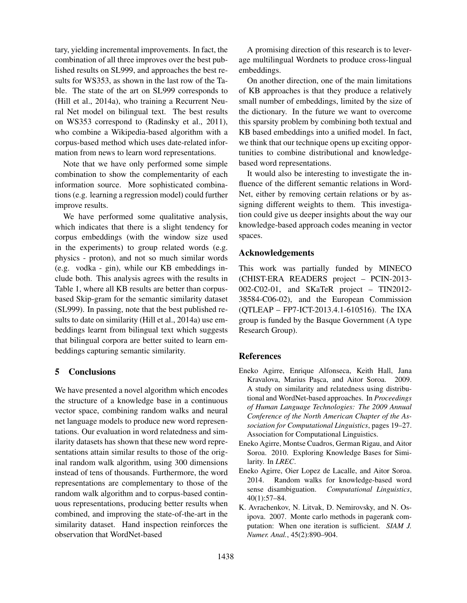tary, yielding incremental improvements. In fact, the combination of all three improves over the best published results on SL999, and approaches the best results for WS353, as shown in the last row of the Table. The state of the art on SL999 corresponds to (Hill et al., 2014a), who training a Recurrent Neural Net model on bilingual text. The best results on WS353 correspond to (Radinsky et al., 2011), who combine a Wikipedia-based algorithm with a corpus-based method which uses date-related information from news to learn word representations.

Note that we have only performed some simple combination to show the complementarity of each information source. More sophisticated combinations (e.g. learning a regression model) could further improve results.

We have performed some qualitative analysis, which indicates that there is a slight tendency for corpus embeddings (with the window size used in the experiments) to group related words (e.g. physics - proton), and not so much similar words (e.g. vodka - gin), while our KB embeddings include both. This analysis agrees with the results in Table 1, where all KB results are better than corpusbased Skip-gram for the semantic similarity dataset (SL999). In passing, note that the best published results to date on similarity (Hill et al., 2014a) use embeddings learnt from bilingual text which suggests that bilingual corpora are better suited to learn embeddings capturing semantic similarity.

#### 5 Conclusions

We have presented a novel algorithm which encodes the structure of a knowledge base in a continuous vector space, combining random walks and neural net language models to produce new word representations. Our evaluation in word relatedness and similarity datasets has shown that these new word representations attain similar results to those of the original random walk algorithm, using 300 dimensions instead of tens of thousands. Furthermore, the word representations are complementary to those of the random walk algorithm and to corpus-based continuous representations, producing better results when combined, and improving the state-of-the-art in the similarity dataset. Hand inspection reinforces the observation that WordNet-based

A promising direction of this research is to leverage multilingual Wordnets to produce cross-lingual embeddings.

On another direction, one of the main limitations of KB approaches is that they produce a relatively small number of embeddings, limited by the size of the dictionary. In the future we want to overcome this sparsity problem by combining both textual and KB based embeddings into a unified model. In fact, we think that our technique opens up exciting opportunities to combine distributional and knowledgebased word representations.

It would also be interesting to investigate the influence of the different semantic relations in Word-Net, either by removing certain relations or by assigning different weights to them. This investigation could give us deeper insights about the way our knowledge-based approach codes meaning in vector spaces.

## Acknowledgements

This work was partially funded by MINECO (CHIST-ERA READERS project – PCIN-2013- 002-C02-01, and SKaTeR project – TIN2012- 38584-C06-02), and the European Commission (QTLEAP – FP7-ICT-2013.4.1-610516). The IXA group is funded by the Basque Government (A type Research Group).

#### References

- Eneko Agirre, Enrique Alfonseca, Keith Hall, Jana Kravalova, Marius Pasca, and Aitor Soroa. 2009. A study on similarity and relatedness using distributional and WordNet-based approaches. In *Proceedings of Human Language Technologies: The 2009 Annual Conference of the North American Chapter of the Association for Computational Linguistics*, pages 19–27. Association for Computational Linguistics.
- Eneko Agirre, Montse Cuadros, German Rigau, and Aitor Soroa. 2010. Exploring Knowledge Bases for Similarity. In *LREC*.
- Eneko Agirre, Oier Lopez de Lacalle, and Aitor Soroa. 2014. Random walks for knowledge-based word sense disambiguation. *Computational Linguistics*, 40(1):57–84.
- K. Avrachenkov, N. Litvak, D. Nemirovsky, and N. Osipova. 2007. Monte carlo methods in pagerank computation: When one iteration is sufficient. *SIAM J. Numer. Anal.*, 45(2):890–904.